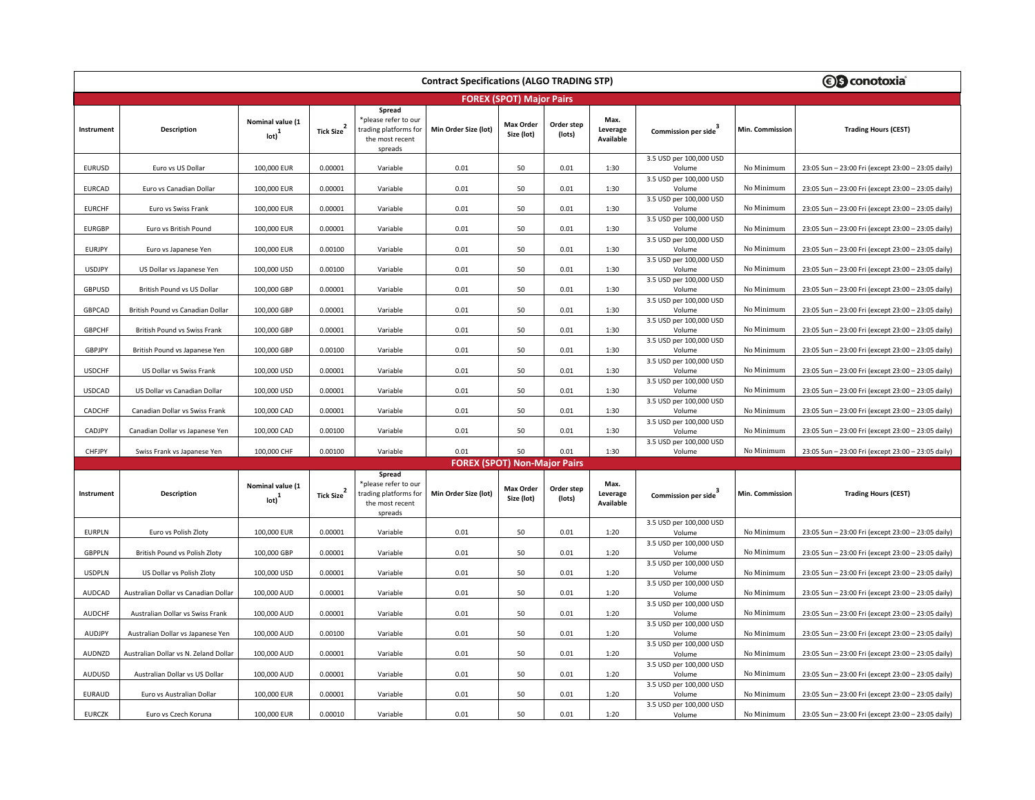| <b>Contract Specifications (ALGO TRADING STP)</b> |                                       |                                                         |                        |                                                                                       |                                     |                                |                      |                               |                                                              |                 | <b><i>S</i></b> conotoxia                          |  |
|---------------------------------------------------|---------------------------------------|---------------------------------------------------------|------------------------|---------------------------------------------------------------------------------------|-------------------------------------|--------------------------------|----------------------|-------------------------------|--------------------------------------------------------------|-----------------|----------------------------------------------------|--|
|                                                   | <b>FOREX (SPOT) Major Pairs</b>       |                                                         |                        |                                                                                       |                                     |                                |                      |                               |                                                              |                 |                                                    |  |
| Instrument                                        | Description                           | Nominal value (1<br>$_{\text{lot}}$                     | <b>Tick Size</b>       | Spread<br>*please refer to our<br>trading platforms for<br>the most recent<br>spreads | Min Order Size (lot)                | <b>Max Order</b><br>Size (lot) | Order step<br>(lots) | Max.<br>Leverage<br>Available | Commission per side                                          | Min. Commission | <b>Trading Hours (CEST)</b>                        |  |
| <b>EURUSD</b>                                     | Euro vs US Dollar                     | 100,000 EUR                                             | 0.00001                | Variable                                                                              | 0.01                                | 50                             | 0.01                 | 1:30                          | 3.5 USD per 100,000 USD<br>Volume                            | No Minimum      | 23:05 Sun - 23:00 Fri (except 23:00 - 23:05 daily) |  |
| <b>EURCAD</b>                                     | Euro vs Canadian Dollar               | 100,000 EUR                                             | 0.00001                | Variable                                                                              | 0.01                                | 50                             | 0.01                 | 1:30                          | 3.5 USD per 100,000 USD<br>Volume                            | No Minimum      | 23:05 Sun - 23:00 Fri (except 23:00 - 23:05 daily) |  |
| <b>EURCHF</b>                                     | Euro vs Swiss Frank                   | 100,000 EUR                                             | 0.00001                | Variable                                                                              | 0.01                                | 50                             | 0.01                 | 1:30                          | 3.5 USD per 100,000 USD<br>Volume                            | No Minimum      | 23:05 Sun - 23:00 Fri (except 23:00 - 23:05 daily) |  |
| <b>EURGBP</b>                                     | Euro vs British Pound                 | 100,000 EUR                                             | 0.00001                | Variable                                                                              | 0.01                                | 50                             | 0.01                 | 1:30                          | 3.5 USD per 100,000 USD<br>Volume                            | No Minimum      | 23:05 Sun - 23:00 Fri (except 23:00 - 23:05 daily) |  |
| <b>EURJPY</b>                                     | Euro vs Japanese Yen                  | 100,000 EUR                                             | 0.00100                | Variable                                                                              | 0.01                                | 50                             | 0.01                 | 1:30                          | 3.5 USD per 100,000 USD<br>Volume                            | No Minimum      | 23:05 Sun - 23:00 Fri (except 23:00 - 23:05 daily) |  |
| <b>USDJPY</b>                                     | US Dollar vs Japanese Yen             | 100,000 USD                                             | 0.00100                | Variable                                                                              | 0.01                                | 50                             | 0.01                 | 1:30                          | 3.5 USD per 100,000 USD<br>Volume                            | No Minimum      | 23:05 Sun - 23:00 Fri (except 23:00 - 23:05 daily) |  |
| GBPUSD                                            | British Pound vs US Dollar            | 100,000 GBP                                             | 0.00001                | Variable                                                                              | 0.01                                | 50                             | 0.01                 | 1:30                          | 3.5 USD per 100,000 USD<br>Volume                            | No Minimum      | 23:05 Sun - 23:00 Fri (except 23:00 - 23:05 daily) |  |
| <b>GBPCAD</b>                                     | British Pound vs Canadian Dollar      | 100,000 GBP                                             | 0.00001                | Variable                                                                              | 0.01                                | 50                             | 0.01                 | 1:30                          | 3.5 USD per 100,000 USD<br>Volume                            | No Minimum      | 23:05 Sun - 23:00 Fri (except 23:00 - 23:05 daily) |  |
| <b>GBPCHF</b>                                     | British Pound vs Swiss Frank          | 100,000 GBP                                             | 0.00001                | Variable                                                                              | 0.01                                | 50                             | 0.01                 | 1:30                          | 3.5 USD per 100,000 USD<br>Volume                            | No Minimum      | 23:05 Sun - 23:00 Fri (except 23:00 - 23:05 daily) |  |
| GBPJPY                                            | British Pound vs Japanese Yen         | 100,000 GBP                                             | 0.00100                | Variable                                                                              | 0.01                                | 50                             | 0.01                 | 1:30                          | 3.5 USD per 100,000 USD<br>Volume<br>3.5 USD per 100,000 USD | No Minimum      | 23:05 Sun - 23:00 Fri (except 23:00 - 23:05 daily) |  |
| <b>USDCHF</b>                                     | US Dollar vs Swiss Frank              | 100,000 USD                                             | 0.00001                | Variable                                                                              | 0.01                                | 50                             | 0.01                 | 1:30                          | Volume<br>3.5 USD per 100,000 USD                            | No Minimum      | 23:05 Sun - 23:00 Fri (except 23:00 - 23:05 daily) |  |
| <b>USDCAD</b>                                     | US Dollar vs Canadian Dollar          | 100,000 USD                                             | 0.00001                | Variable                                                                              | 0.01                                | 50                             | 0.01                 | 1:30                          | Volume<br>3.5 USD per 100,000 USD                            | No Minimum      | 23:05 Sun - 23:00 Fri (except 23:00 - 23:05 daily) |  |
| CADCHF                                            | Canadian Dollar vs Swiss Frank        | 100,000 CAD                                             | 0.00001                | Variable                                                                              | 0.01                                | 50                             | 0.01                 | 1:30                          | Volume<br>3.5 USD per 100,000 USD                            | No Minimum      | 23:05 Sun - 23:00 Fri (except 23:00 - 23:05 daily) |  |
| CADJPY                                            | Canadian Dollar vs Japanese Yen       | 100,000 CAD                                             | 0.00100                | Variable                                                                              | 0.01                                | 50                             | 0.01                 | 1:30                          | Volume<br>3.5 USD per 100,000 USD                            | No Minimum      | 23:05 Sun - 23:00 Fri (except 23:00 - 23:05 daily) |  |
| CHFJPY                                            | Swiss Frank vs Japanese Yen           | 100,000 CHF                                             | 0.00100                | Variable                                                                              | 0.01                                | 50                             | 0.01                 | 1:30                          | Volume                                                       | No Minimum      | 23:05 Sun - 23:00 Fri (except 23:00 - 23:05 daily) |  |
|                                                   |                                       |                                                         |                        |                                                                                       | <b>FOREX (SPOT) Non-Major Pairs</b> |                                |                      |                               |                                                              |                 |                                                    |  |
| Instrument                                        | <b>Description</b>                    | Nominal value (1<br>$\left( \text{lot} \right)^{\perp}$ | Tick Size <sup>2</sup> | Spread<br>*please refer to our<br>trading platforms for<br>the most recent<br>spreads | Min Order Size (lot)                | <b>Max Order</b><br>Size (lot) | Order step<br>(lots) | Max.<br>Leverage<br>Available | Commission per side <sup>3</sup>                             | Min. Commission | <b>Trading Hours (CEST)</b>                        |  |
| <b>EURPLN</b>                                     | Euro vs Polish Zloty                  | 100,000 EUR                                             | 0.00001                | Variable                                                                              | 0.01                                | 50                             | 0.01                 | 1:20                          | 3.5 USD per 100,000 USD<br>Volume                            | No Minimum      | 23:05 Sun - 23:00 Fri (except 23:00 - 23:05 daily) |  |
| <b>GBPPLN</b>                                     | British Pound vs Polish Zloty         | 100,000 GBP                                             | 0.00001                | Variable                                                                              | 0.01                                | 50                             | 0.01                 | 1:20                          | 3.5 USD per 100,000 USD<br>Volume                            | No Minimum      | 23:05 Sun - 23:00 Fri (except 23:00 - 23:05 daily) |  |
| <b>USDPLN</b>                                     | US Dollar vs Polish Zloty             | 100,000 USD                                             | 0.00001                | Variable                                                                              | 0.01                                | 50                             | 0.01                 | 1:20                          | 3.5 USD per 100,000 USD<br>Volume                            | No Minimum      | 23:05 Sun - 23:00 Fri (except 23:00 - 23:05 daily) |  |
| <b>AUDCAD</b>                                     | Australian Dollar vs Canadian Dollar  | 100,000 AUD                                             | 0.00001                | Variable                                                                              | 0.01                                | 50                             | 0.01                 | 1:20                          | 3.5 USD per 100,000 USD<br>Volume                            | No Minimum      | 23:05 Sun - 23:00 Fri (except 23:00 - 23:05 daily) |  |
| <b>AUDCHF</b>                                     | Australian Dollar vs Swiss Frank      | 100,000 AUD                                             | 0.00001                | Variable                                                                              | 0.01                                | 50                             | 0.01                 | 1:20                          | 3.5 USD per 100,000 USD<br>Volume                            | No Minimum      | 23:05 Sun - 23:00 Fri (except 23:00 - 23:05 daily) |  |
| <b>AUDJPY</b>                                     | Australian Dollar vs Japanese Yen     | 100,000 AUD                                             | 0.00100                | Variable                                                                              | 0.01                                | 50                             | 0.01                 | 1:20                          | 3.5 USD per 100,000 USD<br>Volume                            | No Minimum      | 23:05 Sun - 23:00 Fri (except 23:00 - 23:05 daily) |  |
| AUDNZD                                            | Australian Dollar vs N. Zeland Dollar | 100,000 AUD                                             | 0.00001                | Variable                                                                              | 0.01                                | 50                             | 0.01                 | 1:20                          | 3.5 USD per 100,000 USD<br>Volume                            | No Minimum      | 23:05 Sun - 23:00 Fri (except 23:00 - 23:05 daily) |  |
| AUDUSD                                            | Australian Dollar vs US Dollar        | 100,000 AUD                                             | 0.00001                | Variable                                                                              | 0.01                                | 50                             | 0.01                 | 1:20                          | 3.5 USD per 100,000 USD<br>Volume                            | No Minimum      | 23:05 Sun - 23:00 Fri (except 23:00 - 23:05 daily) |  |
| <b>EURAUD</b>                                     | Euro vs Australian Dollar             | 100,000 EUR                                             | 0.00001                | Variable                                                                              | 0.01                                | 50                             | 0.01                 | 1:20                          | 3.5 USD per 100,000 USD<br>Volume<br>3.5 USD per 100,000 USD | No Minimum      | 23:05 Sun - 23:00 Fri (except 23:00 - 23:05 daily) |  |
| <b>EURCZK</b>                                     | Euro vs Czech Koruna                  | 100,000 EUR                                             | 0.00010                | Variable                                                                              | 0.01                                | 50                             | 0.01                 | 1:20                          | Volume                                                       | No Minimum      | 23:05 Sun - 23:00 Fri (except 23:00 - 23:05 daily) |  |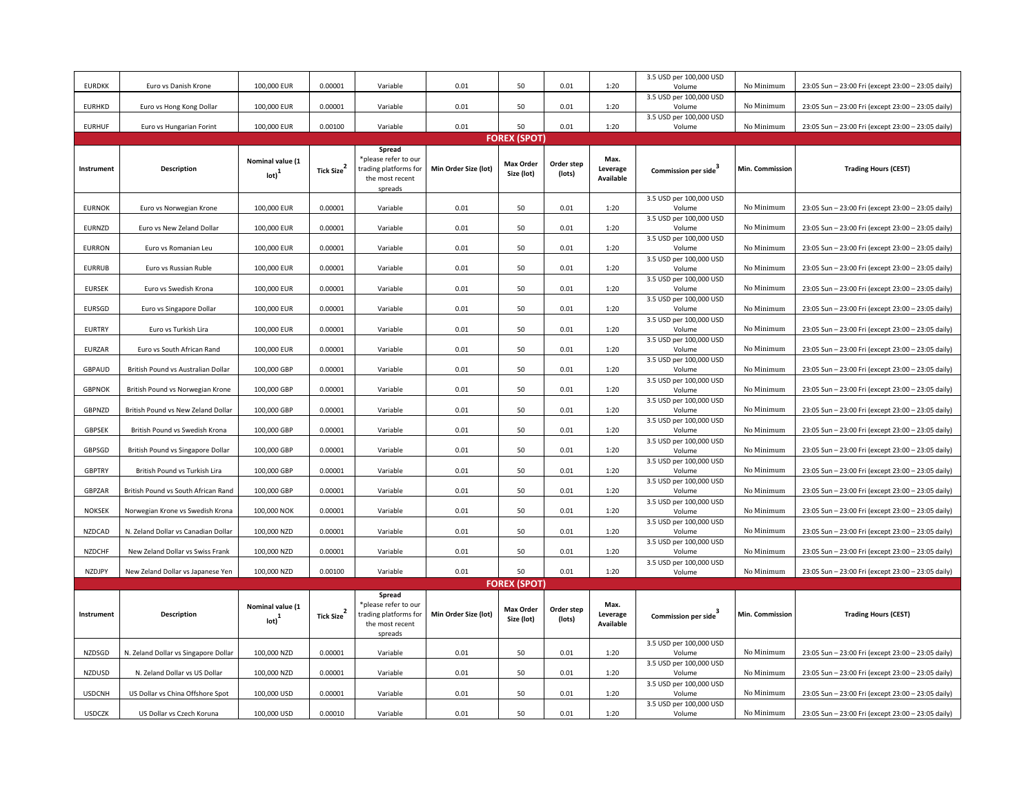| <b>EURDKK</b> | Euro vs Danish Krone                 | 100,000 EUR                                      | 0.00001                | Variable                                                                   | 0.01                 | 50                             | 0.01                 | 1:20                          | 3.5 USD per 100,000 USD<br>Volume | No Minimum               | 23:05 Sun - 23:00 Fri (except 23:00 - 23:05 daily) |
|---------------|--------------------------------------|--------------------------------------------------|------------------------|----------------------------------------------------------------------------|----------------------|--------------------------------|----------------------|-------------------------------|-----------------------------------|--------------------------|----------------------------------------------------|
| <b>EURHKD</b> | Euro vs Hong Kong Dollar             | 100,000 EUR                                      | 0.00001                | Variable                                                                   | 0.01                 | 50                             | 0.01                 | 1:20                          | 3.5 USD per 100,000 USD<br>Volume | No Minimum               | 23:05 Sun - 23:00 Fri (except 23:00 - 23:05 daily) |
|               |                                      |                                                  |                        |                                                                            |                      |                                |                      |                               | 3.5 USD per 100,000 USD           |                          |                                                    |
| <b>EURHUF</b> | Euro vs Hungarian Forint             | 100,000 EUR                                      | 0.00100                | Variable                                                                   | 0.01                 | 50<br><b>FOREX (SPOT)</b>      | 0.01                 | 1:20                          | Volume                            | No Minimum               | 23:05 Sun - 23:00 Fri (except 23:00 - 23:05 daily) |
| Spread        |                                      |                                                  |                        |                                                                            |                      |                                |                      |                               |                                   |                          |                                                    |
| Instrument    | Description                          | Nominal value (1<br>$_{\text{lot}}$ <sup>1</sup> | Tick Size <sup>2</sup> | please refer to our<br>trading platforms for<br>the most recent<br>spreads | Min Order Size (lot) | <b>Max Order</b><br>Size (lot) | Order step<br>(lots) | Max.<br>Leverage<br>Available | Commission per side               | Min. Commission          | <b>Trading Hours (CEST)</b>                        |
| <b>EURNOK</b> | Euro vs Norwegian Krone              | 100,000 EUR                                      | 0.00001                | Variable                                                                   | 0.01                 | 50                             | 0.01                 | 1:20                          | 3.5 USD per 100,000 USD<br>Volume | No Minimum               | 23:05 Sun - 23:00 Fri (except 23:00 - 23:05 daily) |
| EURNZD        | Euro vs New Zeland Dollar            | 100,000 EUR                                      | 0.00001                | Variable                                                                   | 0.01                 | 50                             | 0.01                 | 1:20                          | 3.5 USD per 100,000 USD<br>Volume | No Minimum               | 23:05 Sun - 23:00 Fri (except 23:00 - 23:05 daily) |
| <b>EURRON</b> | Euro vs Romanian Leu                 | 100,000 EUR                                      | 0.00001                | Variable                                                                   | 0.01                 | 50                             | 0.01                 | 1:20                          | 3.5 USD per 100,000 USD<br>Volume | No Minimum               | 23:05 Sun - 23:00 Fri (except 23:00 - 23:05 daily) |
| <b>EURRUB</b> | Euro vs Russian Ruble                | 100,000 EUR                                      | 0.00001                | Variable                                                                   | 0.01                 | 50                             | 0.01                 | 1:20                          | 3.5 USD per 100,000 USD<br>Volume | No Minimum               | 23:05 Sun - 23:00 Fri (except 23:00 - 23:05 daily) |
| <b>EURSEK</b> | Euro vs Swedish Krona                | 100,000 EUR                                      | 0.00001                | Variable                                                                   | 0.01                 | 50                             | 0.01                 | 1:20                          | 3.5 USD per 100,000 USD<br>Volume | No Minimum               | 23:05 Sun - 23:00 Fri (except 23:00 - 23:05 daily) |
| <b>EURSGD</b> | Euro vs Singapore Dollar             | 100,000 EUR                                      | 0.00001                | Variable                                                                   | 0.01                 | 50                             | 0.01                 | 1:20                          | 3.5 USD per 100,000 USD<br>Volume | No Minimum               | 23:05 Sun - 23:00 Fri (except 23:00 - 23:05 daily) |
| <b>EURTRY</b> | Euro vs Turkish Lira                 | 100,000 EUR                                      | 0.00001                | Variable                                                                   | 0.01                 | 50                             | 0.01                 | 1:20                          | 3.5 USD per 100,000 USD<br>Volume | No Minimum               | 23:05 Sun - 23:00 Fri (except 23:00 - 23:05 daily) |
| EURZAR        | Euro vs South African Rand           | 100,000 EUR                                      | 0.00001                | Variable                                                                   | 0.01                 | 50                             | 0.01                 | 1:20                          | 3.5 USD per 100,000 USD<br>Volume | No Minimum               | 23:05 Sun - 23:00 Fri (except 23:00 - 23:05 daily) |
| GBPAUD        | British Pound vs Australian Dollar   | 100,000 GBP                                      | 0.00001                | Variable                                                                   | 0.01                 | 50                             | 0.01                 | 1:20                          | 3.5 USD per 100,000 USD<br>Volume | No Minimum               | 23:05 Sun - 23:00 Fri (except 23:00 - 23:05 daily) |
| <b>GBPNOK</b> | British Pound vs Norwegian Krone     | 100,000 GBP                                      | 0.00001                | Variable                                                                   | 0.01                 | 50                             | 0.01                 | 1:20                          | 3.5 USD per 100,000 USD<br>Volume | No Minimum               | 23:05 Sun - 23:00 Fri (except 23:00 - 23:05 daily) |
| GBPNZD        | British Pound vs New Zeland Dollar   | 100,000 GBP                                      | 0.00001                | Variable                                                                   | 0.01                 | 50                             | 0.01                 | 1:20                          | 3.5 USD per 100,000 USD<br>Volume | No Minimum               | 23:05 Sun - 23:00 Fri (except 23:00 - 23:05 daily) |
| <b>GBPSEK</b> | British Pound vs Swedish Krona       | 100,000 GBP                                      | 0.00001                | Variable                                                                   | 0.01                 | 50                             | 0.01                 | 1:20                          | 3.5 USD per 100,000 USD<br>Volume | No Minimum               | 23:05 Sun - 23:00 Fri (except 23:00 - 23:05 daily) |
| <b>GBPSGD</b> | British Pound vs Singapore Dollar    | 100,000 GBP                                      | 0.00001                | Variable                                                                   | 0.01                 | 50                             | 0.01                 | 1:20                          | 3.5 USD per 100,000 USD<br>Volume | No Minimum               | 23:05 Sun - 23:00 Fri (except 23:00 - 23:05 daily) |
| <b>GBPTRY</b> | British Pound vs Turkish Lira        | 100,000 GBP                                      | 0.00001                | Variable                                                                   | 0.01                 | 50                             | 0.01                 | 1:20                          | 3.5 USD per 100,000 USD<br>Volume | No Minimum               | 23:05 Sun - 23:00 Fri (except 23:00 - 23:05 daily) |
| GBPZAR        | British Pound vs South African Rand  | 100,000 GBP                                      | 0.00001                | Variable                                                                   | 0.01                 | 50                             | 0.01                 | 1:20                          | 3.5 USD per 100,000 USD<br>Volume | No Minimum               | 23:05 Sun - 23:00 Fri (except 23:00 - 23:05 daily) |
| <b>NOKSEK</b> |                                      |                                                  | 0.00001                | Variable                                                                   | 0.01                 | 50                             |                      | 1:20                          | 3.5 USD per 100,000 USD           | No Minimum               |                                                    |
|               | Norwegian Krone vs Swedish Krona     | 100,000 NOK                                      |                        |                                                                            |                      |                                | 0.01                 |                               | Volume<br>3.5 USD per 100,000 USD |                          | 23:05 Sun - 23:00 Fri (except 23:00 - 23:05 daily) |
| <b>NZDCAD</b> | N. Zeland Dollar vs Canadian Dollar  | 100,000 NZD                                      | 0.00001                | Variable                                                                   | 0.01                 | 50                             | 0.01                 | 1:20                          | Volume<br>3.5 USD per 100,000 USD | No Minimum               | 23:05 Sun - 23:00 Fri (except 23:00 - 23:05 daily) |
| <b>NZDCHF</b> | New Zeland Dollar vs Swiss Frank     | 100,000 NZD                                      | 0.00001                | Variable                                                                   | 0.01                 | 50                             | 0.01                 | 1:20                          | Volume<br>3.5 USD per 100,000 USD | No Minimum<br>No Minimum | 23:05 Sun - 23:00 Fri (except 23:00 - 23:05 daily) |
| NZDJPY        | New Zeland Dollar vs Japanese Yen    | 100,000 NZD                                      | 0.00100                | Variable                                                                   | 0.01                 | 50<br><b>FOREX (SPOT)</b>      | 0.01                 | 1:20                          | Volume                            |                          | 23:05 Sun - 23:00 Fri (except 23:00 - 23:05 daily) |
|               |                                      |                                                  |                        | Spread                                                                     |                      |                                |                      |                               |                                   |                          |                                                    |
| Instrument    | Description                          | Nominal value (1<br>$\text{Iot}$ <sup>1</sup>    | Tick Size <sup>2</sup> | please refer to our<br>trading platforms for<br>the most recent<br>spreads | Min Order Size (lot) | <b>Max Order</b><br>Size (lot) | Order step<br>(lots) | Max.<br>Leverage<br>Available | Commission per side               | Min. Commission          | <b>Trading Hours (CEST)</b>                        |
| NZDSGD        | N. Zeland Dollar vs Singapore Dollar | 100,000 NZD                                      | 0.00001                | Variable                                                                   | 0.01                 | 50                             | 0.01                 | 1:20                          | 3.5 USD per 100,000 USD<br>Volume | No Minimum               | 23:05 Sun - 23:00 Fri (except 23:00 - 23:05 daily) |
| NZDUSD        | N. Zeland Dollar vs US Dollar        | 100,000 NZD                                      | 0.00001                | Variable                                                                   | 0.01                 | 50                             | 0.01                 | 1:20                          | 3.5 USD per 100,000 USD<br>Volume | No Minimum               | 23:05 Sun - 23:00 Fri (except 23:00 - 23:05 daily) |
| <b>USDCNH</b> | US Dollar vs China Offshore Spot     | 100,000 USD                                      | 0.00001                | Variable                                                                   | 0.01                 | 50                             | 0.01                 | 1:20                          | 3.5 USD per 100,000 USD<br>Volume | No Minimum               | 23:05 Sun - 23:00 Fri (except 23:00 - 23:05 daily) |
|               |                                      |                                                  |                        |                                                                            |                      |                                |                      |                               | 3.5 USD per 100,000 USD           |                          |                                                    |
| <b>USDCZK</b> | US Dollar vs Czech Koruna            | 100,000 USD                                      | 0.00010                | Variable                                                                   | 0.01                 | 50                             | 0.01                 | 1:20                          | Volume                            | No Minimum               | 23:05 Sun - 23:00 Fri (except 23:00 - 23:05 daily) |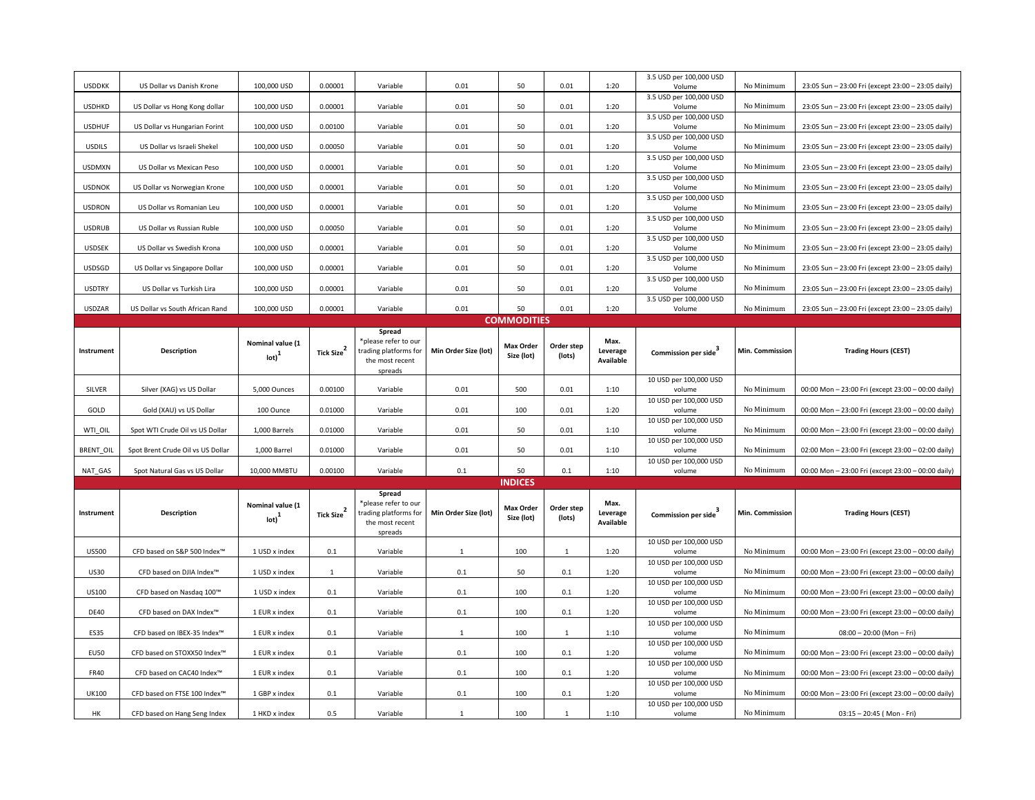| <b>USDDKK</b>    | US Dollar vs Danish Krone         | 100,000 USD                           | 0.00001                | Variable                                      | 0.01                 | 50                             | 0.01                 | 1:20             | 3.5 USD per 100,000 USD<br>Volume | No Minimum      | 23:05 Sun - 23:00 Fri (except 23:00 - 23:05 daily) |  |
|------------------|-----------------------------------|---------------------------------------|------------------------|-----------------------------------------------|----------------------|--------------------------------|----------------------|------------------|-----------------------------------|-----------------|----------------------------------------------------|--|
| <b>USDHKD</b>    | US Dollar vs Hong Kong dollar     | 100,000 USD                           | 0.00001                | Variable                                      | 0.01                 | 50                             | 0.01                 | 1:20             | 3.5 USD per 100,000 USD<br>Volume | No Minimum      | 23:05 Sun - 23:00 Fri (except 23:00 - 23:05 daily) |  |
|                  |                                   |                                       |                        |                                               |                      |                                |                      |                  | 3.5 USD per 100,000 USD           |                 |                                                    |  |
| <b>USDHUF</b>    | US Dollar vs Hungarian Forint     | 100,000 USD                           | 0.00100                | Variable                                      | 0.01                 | 50                             | 0.01                 | 1:20             | Volume<br>3.5 USD per 100,000 USD | No Minimum      | 23:05 Sun - 23:00 Fri (except 23:00 - 23:05 daily) |  |
| <b>USDILS</b>    | US Dollar vs Israeli Shekel       | 100,000 USD                           | 0.00050                | Variable                                      | 0.01                 | 50                             | 0.01                 | 1:20             | Volume                            | No Minimum      | 23:05 Sun - 23:00 Fri (except 23:00 - 23:05 daily) |  |
| <b>USDMXN</b>    | US Dollar vs Mexican Peso         | 100,000 USD                           | 0.00001                | Variable                                      | 0.01                 | 50                             | 0.01                 | 1:20             | 3.5 USD per 100,000 USD<br>Volume | No Minimum      | 23:05 Sun - 23:00 Fri (except 23:00 - 23:05 daily) |  |
|                  |                                   |                                       |                        |                                               |                      |                                |                      |                  | 3.5 USD per 100,000 USD           |                 |                                                    |  |
| <b>USDNOK</b>    | US Dollar vs Norwegian Krone      | 100,000 USD                           | 0.00001                | Variable                                      | 0.01                 | 50                             | 0.01                 | 1:20             | Volume<br>3.5 USD per 100,000 USD | No Minimum      | 23:05 Sun - 23:00 Fri (except 23:00 - 23:05 daily) |  |
| <b>USDRON</b>    | US Dollar vs Romanian Leu         | 100,000 USD                           | 0.00001                | Variable                                      | 0.01                 | 50                             | 0.01                 | 1:20             | Volume<br>3.5 USD per 100,000 USD | No Minimum      | 23:05 Sun - 23:00 Fri (except 23:00 - 23:05 daily) |  |
| <b>USDRUB</b>    | US Dollar vs Russian Ruble        | 100,000 USD                           | 0.00050                | Variable                                      | 0.01                 | 50                             | 0.01                 | 1:20             | Volume                            | No Minimum      | 23:05 Sun - 23:00 Fri (except 23:00 - 23:05 daily) |  |
| USDSEK           | US Dollar vs Swedish Krona        | 100,000 USD                           | 0.00001                | Variable                                      | 0.01                 | 50                             | 0.01                 | 1:20             | 3.5 USD per 100,000 USD<br>Volume | No Minimum      | 23:05 Sun - 23:00 Fri (except 23:00 - 23:05 daily) |  |
| USDSGD           |                                   |                                       | 0.00001                |                                               |                      | 50                             | 0.01                 | 1:20             | 3.5 USD per 100,000 USD           | No Minimum      |                                                    |  |
|                  | US Dollar vs Singapore Dollar     | 100,000 USD                           |                        | Variable                                      | 0.01                 |                                |                      |                  | Volume<br>3.5 USD per 100,000 USD |                 | 23:05 Sun - 23:00 Fri (except 23:00 - 23:05 daily) |  |
| <b>USDTRY</b>    | US Dollar vs Turkish Lira         | 100,000 USD                           | 0.00001                | Variable                                      | 0.01                 | 50                             | 0.01                 | 1:20             | Volume<br>3.5 USD per 100,000 USD | No Minimum      | 23:05 Sun - 23:00 Fri (except 23:00 - 23:05 daily) |  |
| <b>USDZAR</b>    | US Dollar vs South African Rand   | 100,000 USD                           | 0.00001                | Variable                                      | 0.01                 | 50                             | 0.01                 | 1:20             | Volume                            | No Minimum      | 23:05 Sun - 23:00 Fri (except 23:00 - 23:05 daily) |  |
|                  |                                   |                                       |                        |                                               |                      | <b>COMMODITIES</b>             |                      |                  |                                   |                 |                                                    |  |
|                  |                                   |                                       |                        | Spread<br>*please refer to our                |                      |                                |                      | Max.             |                                   |                 |                                                    |  |
| Instrument       | Description                       | Nominal value (1<br>$_{\text{lot}}^1$ | Tick Size <sup>2</sup> | trading platforms for                         | Min Order Size (lot) | <b>Max Order</b><br>Size (lot) | Order step<br>(lots) | Leverage         | Commission per side               | Min. Commission | <b>Trading Hours (CEST)</b>                        |  |
|                  |                                   |                                       |                        | the most recent<br>spreads                    |                      |                                |                      | Available        |                                   |                 |                                                    |  |
|                  |                                   |                                       |                        |                                               |                      |                                |                      |                  | 10 USD per 100,000 USD            |                 |                                                    |  |
| SILVER           | Silver (XAG) vs US Dollar         | 5,000 Ounces                          | 0.00100                | Variable                                      | 0.01                 | 500                            | 0.01                 | 1:10             | volume                            | No Minimum      | 00:00 Mon - 23:00 Fri (except 23:00 - 00:00 daily) |  |
| GOLD             | Gold (XAU) vs US Dollar           | 100 Ounce                             | 0.01000                | Variable                                      | 0.01                 | 100                            | 0.01                 | 1:20             | 10 USD per 100,000 USD<br>volume  | No Minimum      | 00:00 Mon - 23:00 Fri (except 23:00 - 00:00 daily) |  |
| WTI_OIL          | Spot WTI Crude Oil vs US Dollar   | 1,000 Barrels                         | 0.01000                | Variable                                      | 0.01                 | 50                             | 0.01                 | 1:10             | 10 USD per 100,000 USD<br>volume  | No Minimum      | 00:00 Mon - 23:00 Fri (except 23:00 - 00:00 daily) |  |
|                  |                                   |                                       |                        |                                               |                      |                                |                      |                  | 10 USD per 100,000 USD            |                 |                                                    |  |
| <b>BRENT OIL</b> | Spot Brent Crude Oil vs US Dollar | 1,000 Barrel                          | 0.01000                | Variable                                      | 0.01                 | 50                             | 0.01                 | 1:10             | volume                            | No Minimum      | 02:00 Mon - 23:00 Fri (except 23:00 - 02:00 daily) |  |
| NAT GAS          | Spot Natural Gas vs US Dollar     | 10,000 MMBTU                          | 0.00100                | Variable                                      | 0.1                  | 50                             | 0.1                  | 1:10             | 10 USD per 100,000 USD<br>volume  | No Minimum      | 00:00 Mon - 23:00 Fri (except 23:00 - 00:00 daily) |  |
|                  |                                   |                                       |                        |                                               |                      | <b>INDICES</b>                 |                      |                  |                                   |                 |                                                    |  |
|                  |                                   |                                       |                        | Spread                                        |                      |                                |                      |                  |                                   |                 |                                                    |  |
| Instrument       | Description                       | Nominal value (1                      | Tick Size <sup>2</sup> | *please refer to our<br>trading platforms for | Min Order Size (lot) | <b>Max Order</b>               | Order step           | Max.<br>Leverage |                                   | Min. Commission | <b>Trading Hours (CEST)</b>                        |  |
|                  |                                   | $\text{lot}$ <sup>1</sup>             |                        | the most recent                               |                      | Size (lot)                     | (lots)               | Available        | Commission per side <sup>3</sup>  |                 |                                                    |  |
|                  |                                   |                                       |                        | spreads                                       |                      |                                |                      |                  | 10 USD per 100,000 USD            |                 |                                                    |  |
| <b>US500</b>     | CFD based on S&P 500 Index™       | 1 USD x index                         | 0.1                    | Variable                                      | $\mathbf{1}$         | 100                            | $\mathbf{1}$         | 1:20             | volume                            | No Minimum      | 00:00 Mon - 23:00 Fri (except 23:00 - 00:00 daily) |  |
| US30             | CFD based on DJIA Index™          | 1 USD x index                         | $\mathbf{1}$           | Variable                                      | 0.1                  | 50                             | 0.1                  | 1:20             | 10 USD per 100,000 USD<br>volume  | No Minimum      | 00:00 Mon - 23:00 Fri (except 23:00 - 00:00 daily) |  |
|                  |                                   |                                       |                        |                                               |                      |                                |                      |                  | 10 USD per 100,000 USD            |                 |                                                    |  |
| US100            | CFD based on Nasdaq 100™          | 1 USD x index                         | 0.1                    | Variable                                      | 0.1                  | 100                            | 0.1                  | 1:20             | volume<br>10 USD per 100,000 USD  | No Minimum      | 00:00 Mon - 23:00 Fri (except 23:00 - 00:00 daily) |  |
| <b>DE40</b>      | CFD based on DAX Index™           | 1 EUR x index                         | 0.1                    | Variable                                      | 0.1                  | 100                            | 0.1                  | 1:20             | volume                            | No Minimum      | 00:00 Mon - 23:00 Fri (except 23:00 - 00:00 daily) |  |
| <b>ES35</b>      | CFD based on IBEX-35 Index™       | 1 EUR x index                         | 0.1                    | Variable                                      | $\mathbf{1}$         | 100                            | $\mathbf{1}$         | 1:10             | 10 USD per 100,000 USD<br>volume  | No Minimum      | $08:00 - 20:00$ (Mon - Fri)                        |  |
| <b>EU50</b>      | CFD based on STOXX50 Index™       | 1 EUR x index                         | 0.1                    | Variable                                      | 0.1                  | 100                            | 0.1                  | 1:20             | 10 USD per 100,000 USD<br>volume  | No Minimum      | 00:00 Mon - 23:00 Fri (except 23:00 - 00:00 daily) |  |
|                  |                                   |                                       |                        |                                               |                      |                                |                      |                  | 10 USD per 100,000 USD            |                 |                                                    |  |
| <b>FR40</b>      | CFD based on CAC40 Index™         | 1 EUR x index                         | 0.1                    | Variable                                      | 0.1                  | 100                            | 0.1                  | 1:20             | volume<br>10 USD per 100,000 USD  | No Minimum      | 00:00 Mon - 23:00 Fri (except 23:00 - 00:00 daily) |  |
| UK100            | CFD based on FTSE 100 Index™      | 1 GBP x index                         | 0.1                    | Variable                                      | 0.1                  | 100                            | 0.1                  | 1:20             | volume                            | No Minimum      | 00:00 Mon - 23:00 Fri (except 23:00 - 00:00 daily) |  |
| HK               | CFD based on Hang Seng Index      | 1 HKD x index                         | 0.5                    | Variable                                      | $\mathbf{1}$         | 100                            | $\mathbf{1}$         | 1:10             | 10 USD per 100,000 USD<br>volume  | No Minimum      | 03:15 - 20:45 (Mon - Fri)                          |  |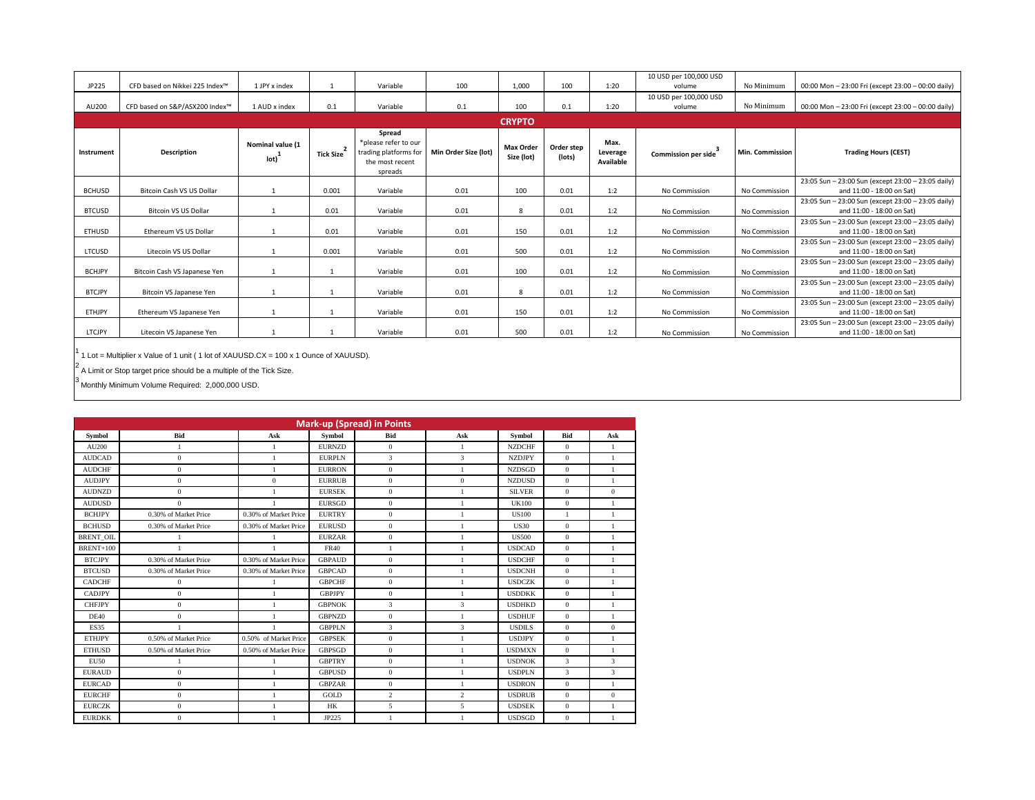|               |                                |                          |                |                                                                                       |                      |                                |                      |                               | 10 USD per 100,000 USD |                 |                                                                                 |
|---------------|--------------------------------|--------------------------|----------------|---------------------------------------------------------------------------------------|----------------------|--------------------------------|----------------------|-------------------------------|------------------------|-----------------|---------------------------------------------------------------------------------|
| JP225         | CFD based on Nikkei 225 Index™ | 1 IPY x index            |                | Variable                                                                              | 100                  | 1,000                          | 100                  | 1:20                          | volume                 | No Minimum      | 00:00 Mon - 23:00 Fri (except 23:00 - 00:00 daily)                              |
|               |                                |                          |                |                                                                                       |                      |                                |                      |                               | 10 USD per 100,000 USD |                 |                                                                                 |
| AU200         | CFD based on S&P/ASX200 Index™ | 1 AUD x index            | 0.1            | Variable                                                                              | 0.1                  | 100                            | 0.1                  | 1:20                          | volume                 | No Minimum      | 00:00 Mon - 23:00 Fri (except 23:00 - 00:00 daily)                              |
|               |                                |                          |                |                                                                                       |                      |                                |                      |                               |                        |                 |                                                                                 |
| Instrument    | <b>Description</b>             | Nominal value (1<br>lot) | 2<br>Tick Size | Spread<br>*please refer to our<br>trading platforms for<br>the most recent<br>spreads | Min Order Size (lot) | <b>Max Order</b><br>Size (lot) | Order step<br>(lots) | Max.<br>Leverage<br>Available | Commission per side    | Min. Commission | <b>Trading Hours (CEST)</b>                                                     |
|               |                                |                          |                |                                                                                       |                      |                                |                      |                               |                        |                 | 23:05 Sun - 23:00 Sun (except 23:00 - 23:05 daily)                              |
| <b>BCHUSD</b> | Bitcoin Cash VS US Dollar      |                          | 0.001          | Variable                                                                              | 0.01                 | 100                            | 0.01                 | 1:2                           | No Commission          | No Commission   | and 11:00 - 18:00 on Sat)                                                       |
|               |                                |                          |                |                                                                                       |                      |                                |                      |                               |                        |                 | 23:05 Sun - 23:00 Sun (except 23:00 - 23:05 daily)                              |
| <b>BTCUSD</b> | <b>Bitcoin VS US Dollar</b>    |                          | 0.01           | Variable                                                                              | 0.01                 | 8                              | 0.01                 | 1:2                           | No Commission          | No Commission   | and 11:00 - 18:00 on Sat)                                                       |
|               |                                |                          |                |                                                                                       |                      |                                |                      |                               |                        |                 | 23:05 Sun - 23:00 Sun (except 23:00 - 23:05 daily)                              |
| ETHUSD        | Ethereum VS US Dollar          |                          | 0.01           | Variable                                                                              | 0.01                 | 150                            | 0.01                 | 1:2                           | No Commission          | No Commission   | and 11:00 - 18:00 on Sat)                                                       |
| LTCUSD        | Litecoin VS US Dollar          |                          | 0.001          | Variable                                                                              | 0.01                 | 500                            | 0.01                 | 1:2                           | No Commission          | No Commission   | 23:05 Sun - 23:00 Sun (except 23:00 - 23:05 daily)<br>and 11:00 - 18:00 on Sat) |
| <b>BCHJPY</b> | Bitcoin Cash VS Japanese Yen   |                          |                | Variable                                                                              | 0.01                 | 100                            | 0.01                 | 1:2                           | No Commission          | No Commission   | 23:05 Sun - 23:00 Sun (except 23:00 - 23:05 daily)<br>and 11:00 - 18:00 on Sat) |
| <b>BTCJPY</b> | Bitcoin VS Japanese Yen        |                          |                | Variable                                                                              | 0.01                 | 8                              | 0.01                 | 1:2                           | No Commission          | No Commission   | 23:05 Sun - 23:00 Sun (except 23:00 - 23:05 daily)<br>and 11:00 - 18:00 on Sat) |
|               |                                |                          |                |                                                                                       |                      |                                |                      |                               |                        |                 | 23:05 Sun - 23:00 Sun (except 23:00 - 23:05 daily)                              |
| <b>ETHJPY</b> | Ethereum VS Japanese Yen       |                          |                | Variable                                                                              | 0.01                 | 150                            | 0.01                 | 1:2                           | No Commission          | No Commission   | and 11:00 - 18:00 on Sat)                                                       |
|               |                                |                          |                |                                                                                       |                      |                                |                      |                               |                        |                 | 23:05 Sun - 23:00 Sun (except 23:00 - 23:05 daily)                              |
| LTCJPY        | Litecoin VS Japanese Yen       |                          |                | Variable                                                                              | 0.01                 | 500                            | 0.01                 | 1:2                           | No Commission          | No Commission   | and 11:00 - 18:00 on Sat)                                                       |

<sup>1</sup> 1 Lot = Multiplier x Value of 1 unit ( 1 lot of XAUUSD.CX = 100 x 1 Ounce of XAUUSD).

 $2$  A Limit or Stop target price should be a multiple of the Tick Size.

 $^3$  Monthly Minimum Volume Required: 2,000,000 USD.

|                  | <b>Mark-up (Spread) in Points</b> |                       |               |                |                |               |                |                |  |  |  |  |  |
|------------------|-----------------------------------|-----------------------|---------------|----------------|----------------|---------------|----------------|----------------|--|--|--|--|--|
| Symbol           | Bid                               | Ask                   | Symbol        | <b>Bid</b>     | Ask            | Symbol        | Bid            | Ask            |  |  |  |  |  |
| AU200            | $\mathbf{1}$                      | $\mathbf{1}$          | <b>EURNZD</b> | $\mathbf{0}$   | $\mathbf{1}$   | <b>NZDCHF</b> | $\Omega$       | $\mathbf{1}$   |  |  |  |  |  |
| <b>AUDCAD</b>    | $\mathbf{0}$                      | 1                     | <b>EURPLN</b> | 3              | 3              | <b>NZDJPY</b> | $\overline{0}$ | $\mathbf{1}$   |  |  |  |  |  |
| <b>AUDCHF</b>    | $\mathbf{0}$                      | 1                     | <b>EURRON</b> | $\bf{0}$       | $\mathbf{1}$   | <b>NZDSGD</b> | $\theta$       | $\mathbf{1}$   |  |  |  |  |  |
| <b>AUDJPY</b>    | $\mathbf{0}$                      | $\mathbf{0}$          | <b>EURRUB</b> | $\mathbf{0}$   | $\overline{0}$ | <b>NZDUSD</b> | $\overline{0}$ | $\mathbf{1}$   |  |  |  |  |  |
| <b>AUDNZD</b>    | $\boldsymbol{0}$                  | $\mathbf{1}$          | <b>EURSEK</b> | $\mathbf{0}$   | $\mathbf{1}$   | <b>SILVER</b> | $\mathbf{0}$   | $\overline{0}$ |  |  |  |  |  |
| <b>AUDUSD</b>    | $\mathbf{0}$                      |                       | <b>EURSGD</b> | $\mathbf{0}$   |                | <b>UK100</b>  | $\overline{0}$ | $\mathbf{1}$   |  |  |  |  |  |
| <b>BCHJPY</b>    | 0.30% of Market Price             | 0.30% of Market Price | <b>EURTRY</b> | $\bf{0}$       | $\mathbf{1}$   | <b>US100</b>  | 1              | $\mathbf{1}$   |  |  |  |  |  |
| <b>BCHUSD</b>    | 0.30% of Market Price             | 0.30% of Market Price | <b>EURUSD</b> | $\mathbf{0}$   | $\mathbf{1}$   | <b>US30</b>   | $\overline{0}$ | $\mathbf{1}$   |  |  |  |  |  |
| <b>BRENT OIL</b> | $\mathbf{1}$                      | $\mathbf{1}$          | <b>EURZAR</b> | $\mathbf{0}$   | $\mathbf{1}$   | <b>US500</b>  | $\mathbf{0}$   | $\mathbf{1}$   |  |  |  |  |  |
| BRENT+100        |                                   |                       | <b>FR40</b>   | 1              |                | <b>USDCAD</b> | $\mathbf{0}$   | $\mathbf{1}$   |  |  |  |  |  |
| <b>BTCJPY</b>    | 0.30% of Market Price             | 0.30% of Market Price | <b>GBPAUD</b> | $\mathbf{0}$   | 1              | <b>USDCHF</b> | $\overline{0}$ | $\mathbf{1}$   |  |  |  |  |  |
| <b>BTCUSD</b>    | 0.30% of Market Price             | 0.30% of Market Price | <b>GBPCAD</b> | $\mathbf{0}$   | $\mathbf{1}$   | <b>USDCNH</b> | $\Omega$       | $\mathbf{1}$   |  |  |  |  |  |
| CADCHF           | $\mathbf{0}$                      |                       | <b>GBPCHF</b> | $\mathbf{0}$   |                | <b>USDCZK</b> | $\overline{0}$ | $\mathbf{1}$   |  |  |  |  |  |
| <b>CADJPY</b>    | $\mathbf{0}$                      | $\mathbf{1}$          | <b>GBPJPY</b> | $\mathbf{0}$   | $\mathbf{1}$   | <b>USDDKK</b> | $\overline{0}$ | $\mathbf{1}$   |  |  |  |  |  |
| <b>CHFJPY</b>    | $\boldsymbol{0}$                  | 1                     | <b>GBPNOK</b> | 3              | $\mathbf{3}$   | <b>USDHKD</b> | $\overline{0}$ | $\mathbf{1}$   |  |  |  |  |  |
| <b>DE40</b>      | $\mathbf{0}$                      | $\mathbf{1}$          | <b>GBPNZD</b> | $\mathbf{0}$   | $\mathbf{1}$   | <b>USDHUF</b> | $\mathbf{0}$   | $\mathbf{1}$   |  |  |  |  |  |
| <b>ES35</b>      |                                   |                       | <b>GBPPLN</b> | 3              | 3              | <b>USDILS</b> | $\mathbf{0}$   | $\mathbf{0}$   |  |  |  |  |  |
| <b>ETHJPY</b>    | 0.50% of Market Price             | 0.50% of Market Price | <b>GBPSEK</b> | $\mathbf{0}$   | $\mathbf{1}$   | <b>USDJPY</b> | $\overline{0}$ | $\mathbf{1}$   |  |  |  |  |  |
| <b>ETHUSD</b>    | 0.50% of Market Price             | 0.50% of Market Price | <b>GBPSGD</b> | $\mathbf{0}$   | $\mathbf{1}$   | <b>USDMXN</b> | $\overline{0}$ | $\mathbf{1}$   |  |  |  |  |  |
| <b>EU50</b>      | $\mathbf{1}$                      | $\mathbf{1}$          | <b>GBPTRY</b> | $\mathbf{0}$   | -1             | <b>USDNOK</b> | $\overline{3}$ | 3              |  |  |  |  |  |
| <b>EURAUD</b>    | $\mathbf{0}$                      | 1                     | <b>GBPUSD</b> | $\mathbf{0}$   | $\mathbf{1}$   | <b>USDPLN</b> | 3              | 3              |  |  |  |  |  |
| <b>EURCAD</b>    | $\mathbf{0}$                      | 1                     | <b>GBPZAR</b> | $\mathbf{0}$   | $\mathbf{1}$   | <b>USDRON</b> | $\overline{0}$ | $\mathbf{1}$   |  |  |  |  |  |
| <b>EURCHF</b>    | $\mathbf{0}$                      | 1                     | GOLD          | $\overline{2}$ | $\overline{2}$ | <b>USDRUB</b> | $\mathbf{0}$   | $\mathbf{0}$   |  |  |  |  |  |
| <b>EURCZK</b>    | $\mathbf{0}$                      | $\mathbf{1}$          | HK            | 5              | 5              | <b>USDSEK</b> | $\Omega$       | $\mathbf{1}$   |  |  |  |  |  |
| <b>EURDKK</b>    | $\mathbf{0}$                      | -1                    | JP225         | 1              | 1              | <b>USDSGD</b> | $\mathbf{0}$   | 1              |  |  |  |  |  |